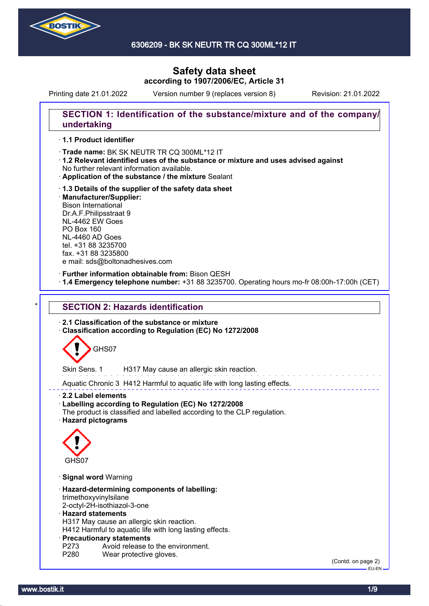

6306209 - BK SK NEUTR TR CQ 300ML\*12 IT

# **Safety data sheet according to 1907/2006/EC, Article 31**

Printing date 21.01.2022 Version number 9 (replaces version 8) Revision: 21.01.2022

# **SECTION 1: Identification of the substance/mixture and of the company/ undertaking**

### · **1.1 Product identifier**

· Trade name: BK SK NEUTR TR CQ 300ML\*12 IT

- · **1.2 Relevant identified uses of the substance or mixture and uses advised against** No further relevant information available.
- · **Application of the substance / the mixture** Sealant
- · **1.3 Details of the supplier of the safety data sheet** · **Manufacturer/Supplier:** Bison International Dr.A.F.Philipsstraat 9 NL-4462 EW Goes PO Box 160 NL-4460 AD Goes tel. +31 88 3235700 fax. +31 88 3235800 e mail: sds@boltonadhesives.com

### · **Further information obtainable from:** Bison QESH

· **1.4 Emergency telephone number:** +31 88 3235700. Operating hours mo-fr 08:00h-17:00h (CET)

# **SECTION 2: Hazards identification**

· **2.1 Classification of the substance or mixture**

· **Classification according to Regulation (EC) No 1272/2008**



Skin Sens. 1 H317 May cause an allergic skin reaction.

Aquatic Chronic 3 H412 Harmful to aquatic life with long lasting effects.

· **2.2 Label elements**

- · **Labelling according to Regulation (EC) No 1272/2008**
- The product is classified and labelled according to the CLP regulation.
- · **Hazard pictograms**



- · **Signal word** Warning
- · **Hazard-determining components of labelling:** trimethoxyvinylsilane
- 2-octyl-2H-isothiazol-3-one

### · **Hazard statements**

H317 May cause an allergic skin reaction.

H412 Harmful to aquatic life with long lasting effects.

### · **Precautionary statements**

- P273 Avoid release to the environment.<br>P280 Wear protective gloves.
- Wear protective gloves.

(Contd. on page 2) EU-EN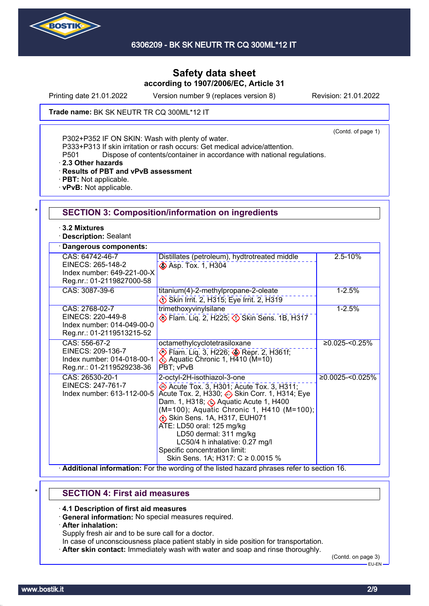

Printing date 21.01.2022 Version number 9 (replaces version 8) Revision: 21.01.2022

**Trade name: BK SK NEUTR TR CQ 300ML\*12 IT** 

(Contd. of page 1)

P302+P352 IF ON SKIN: Wash with plenty of water.

P333+P313 If skin irritation or rash occurs: Get medical advice/attention.

P501 Dispose of contents/container in accordance with national regulations.

· **2.3 Other hazards**

· **Results of PBT and vPvB assessment**

- · **PBT:** Not applicable.
- · **vPvB:** Not applicable.

| ⋅ 3.2 Mixtures<br><b>Description: Sealant</b>                                                   |                                                                                                                                                                                                                                                                                                                                                                                                                           |                     |
|-------------------------------------------------------------------------------------------------|---------------------------------------------------------------------------------------------------------------------------------------------------------------------------------------------------------------------------------------------------------------------------------------------------------------------------------------------------------------------------------------------------------------------------|---------------------|
| Dangerous components:                                                                           |                                                                                                                                                                                                                                                                                                                                                                                                                           |                     |
| CAS: 64742-46-7<br>EINECS: 265-148-2<br>Index number: 649-221-00-X<br>Reg.nr.: 01-2119827000-58 | Distillates (petroleum), hydtrotreated middle<br>Asp. Tox. 1, H304                                                                                                                                                                                                                                                                                                                                                        | 2.5-10%             |
| CAS: 3087-39-6                                                                                  | titanium(4)-2-methylpropane-2-oleate<br>Skin Irrit. 2, H315; Eye Irrit. 2, H319                                                                                                                                                                                                                                                                                                                                           | $1 - 2.5%$          |
| CAS: 2768-02-7<br>EINECS: 220-449-8<br>Index number: 014-049-00-0<br>Reg.nr.: 01-2119513215-52  | trimethoxyvinylsilane<br>Elam. Liq. 2, H225; 3 Skin Sens. 1B, H317                                                                                                                                                                                                                                                                                                                                                        | $1 - 2.5%$          |
| CAS: 556-67-2<br>EINECS: 209-136-7<br>Index number: 014-018-00-1<br>Reg.nr.: 01-2119529238-36   | octamethylcyclotetrasiloxane<br>Flam. Liq. 3, H226; Sepr. 2, H361f;<br>PBT; vPvB                                                                                                                                                                                                                                                                                                                                          | $≥0.025 - 50.25%$   |
| CAS: 26530-20-1<br>EINECS: 247-761-7<br>Index number: 613-112-00-5                              | 2-octyl-2H-isothiazol-3-one<br>$\leftrightarrow$ Acute Tox. 3, H301; Acute Tox. 3, H311;<br>Acute Tox. 2, H330; Skin Corr. 1, H314; Eye<br>Dam. 1, H318; Aquatic Acute 1, H400<br>(M=100); Aquatic Chronic 1, H410 (M=100);<br>Skin Sens. 1A, H317, EUH071<br>ATE: LD50 oral: 125 mg/kg<br>LD50 dermal: 311 mg/kg<br>LC50/4 h inhalative: 0.27 mg/l<br>Specific concentration limit:<br>Skin Sens. 1A; H317: C ≥ 0.0015 % | $≥0.0025 - 50.025%$ |

# \* **SECTION 4: First aid measures**

· **4.1 Description of first aid measures**

- · **General information:** No special measures required.
- · **After inhalation:**

Supply fresh air and to be sure call for a doctor.

- In case of unconsciousness place patient stably in side position for transportation.
- · **After skin contact:** Immediately wash with water and soap and rinse thoroughly.

(Contd. on page 3) EU-EN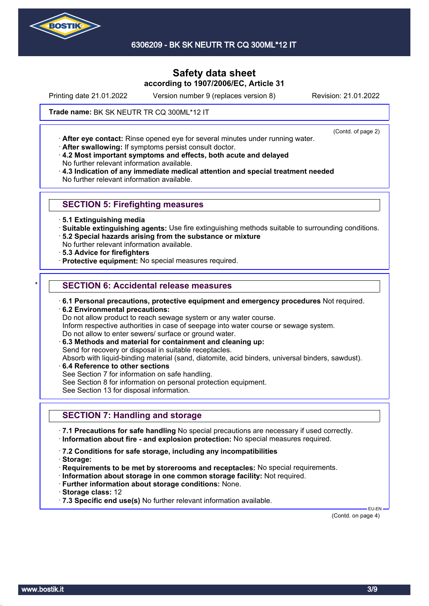

6306209 - BK SK NEUTR TR CQ 300ML\*12 IT

# **Safety data sheet according to 1907/2006/EC, Article 31**

Printing date 21.01.2022 Version number 9 (replaces version 8) Revision: 21.01.2022

(Contd. of page 2)

**Trade name: BK SK NEUTR TR CQ 300ML\*12 IT** 

· **After eye contact:** Rinse opened eye for several minutes under running water.

· **After swallowing:** If symptoms persist consult doctor.

· **4.2 Most important symptoms and effects, both acute and delayed** No further relevant information available.

· **4.3 Indication of any immediate medical attention and special treatment needed** No further relevant information available.

# **SECTION 5: Firefighting measures**

- · **5.1 Extinguishing media**
- · **Suitable extinguishing agents:** Use fire extinguishing methods suitable to surrounding conditions.
- · **5.2 Special hazards arising from the substance or mixture**

No further relevant information available.

- · **5.3 Advice for firefighters**
- · **Protective equipment:** No special measures required.

### **SECTION 6: Accidental release measures**

- · **6.1 Personal precautions, protective equipment and emergency procedures** Not required.
- · **6.2 Environmental precautions:**

Do not allow product to reach sewage system or any water course.

Inform respective authorities in case of seepage into water course or sewage system.

Do not allow to enter sewers/ surface or ground water.

· **6.3 Methods and material for containment and cleaning up:**

Send for recovery or disposal in suitable receptacles.

Absorb with liquid-binding material (sand, diatomite, acid binders, universal binders, sawdust).

- · **6.4 Reference to other sections**
- See Section 7 for information on safe handling.
- See Section 8 for information on personal protection equipment.

See Section 13 for disposal information.

# **SECTION 7: Handling and storage**

· **7.1 Precautions for safe handling** No special precautions are necessary if used correctly. · **Information about fire - and explosion protection:** No special measures required.

- · **7.2 Conditions for safe storage, including any incompatibilities**
- · **Storage:**
- · **Requirements to be met by storerooms and receptacles:** No special requirements.
- · **Information about storage in one common storage facility:** Not required.
- · **Further information about storage conditions:** None.
- · **Storage class:** 12

· **7.3 Specific end use(s)** No further relevant information available.

(Contd. on page 4)

EU-EN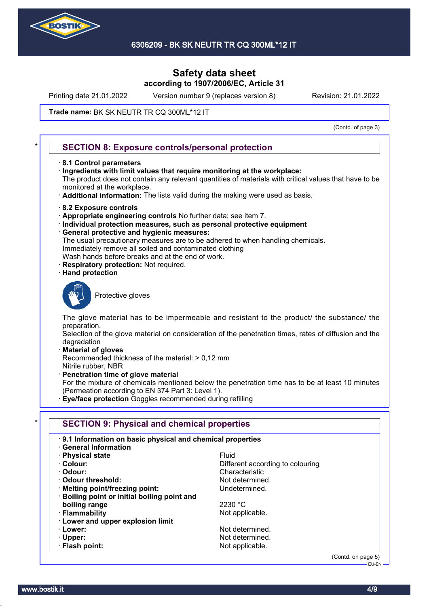

Printing date 21.01.2022 Version number 9 (replaces version 8) Revision: 21.01.2022

### **Trade name: BK SK NEUTR TR CQ 300ML\*12 IT**

(Contd. of page 3)

### **SECTION 8: Exposure controls/personal protection**

- · **8.1 Control parameters**
- · **Ingredients with limit values that require monitoring at the workplace:**

The product does not contain any relevant quantities of materials with critical values that have to be monitored at the workplace.

- · **Additional information:** The lists valid during the making were used as basis.
- · **8.2 Exposure controls**
- · **Appropriate engineering controls** No further data; see item 7.
- · **Individual protection measures, such as personal protective equipment**
- · **General protective and hygienic measures:**
- The usual precautionary measures are to be adhered to when handling chemicals. Immediately remove all soiled and contaminated clothing
- Wash hands before breaks and at the end of work.
- **Respiratory protection: Not required.**
- · **Hand protection**



Protective gloves

The glove material has to be impermeable and resistant to the product/ the substance/ the preparation.

Selection of the glove material on consideration of the penetration times, rates of diffusion and the degradation

· **Material of gloves**

Recommended thickness of the material: > 0,12 mm Nitrile rubber, NBR

· **Penetration time of glove material**

For the mixture of chemicals mentioned below the penetration time has to be at least 10 minutes (Permeation according to EN 374 Part 3: Level 1).

· **Eye/face protection** Goggles recommended during refilling

| .9.1 Information on basic physical and chemical properties<br><b>General Information</b> |                                  |
|------------------------------------------------------------------------------------------|----------------------------------|
| · Physical state                                                                         | <b>Fluid</b>                     |
| · Colour:                                                                                | Different according to colouring |
| · Odour:                                                                                 | Characteristic                   |
| Odour threshold:                                                                         | Not determined.                  |
| · Melting point/freezing point:                                                          | Undetermined.                    |
| · Boiling point or initial boiling point and                                             |                                  |
| boiling range                                                                            | 2230 °C                          |
| · Flammability                                                                           | Not applicable.                  |
| <b>Lower and upper explosion limit</b>                                                   |                                  |
| · Lower:                                                                                 | Not determined.                  |
| $\cdot$ Upper:                                                                           | Not determined.                  |
| · Flash point:                                                                           | Not applicable.                  |

(Contd. on page 5) EU-EN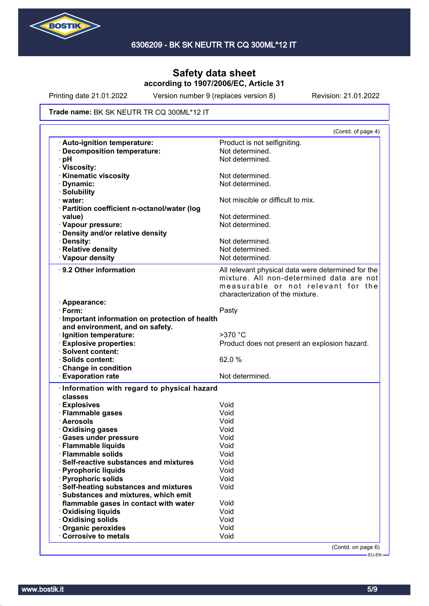

Printing date 21.01.2022 Version number 9 (replaces version 8) Revision: 21.01.2022

#### **Trade name: BK SK NEUTR TR CQ 300ML\*12 IT**

|                                                        | (Contd. of page 4)                                 |
|--------------------------------------------------------|----------------------------------------------------|
| · Auto-ignition temperature:                           | Product is not selfigniting.                       |
| <b>Decomposition temperature:</b>                      | Not determined.                                    |
| pH                                                     | Not determined.                                    |
| · Viscosity:                                           |                                                    |
| <b>Kinematic viscosity</b>                             | Not determined.                                    |
| Dynamic:                                               | Not determined.                                    |
| · Solubility                                           |                                                    |
| · water:                                               | Not miscible or difficult to mix.                  |
| · Partition coefficient n-octanol/water (log           |                                                    |
| value)                                                 | Not determined.                                    |
| · Vapour pressure:                                     | Not determined.                                    |
| · Density and/or relative density                      |                                                    |
| · Density:                                             | Not determined.                                    |
| · Relative density                                     | Not determined.                                    |
| · Vapour density                                       | Not determined.                                    |
| 9.2 Other information                                  | All relevant physical data were determined for the |
|                                                        | mixture. All non-determined data are not           |
|                                                        | measurable or not relevant for the                 |
|                                                        | characterization of the mixture.                   |
| · Appearance:                                          |                                                    |
| $\cdot$ Form:                                          | Pasty                                              |
| · Important information on protection of health        |                                                    |
| and environment, and on safety.                        |                                                    |
| · Ignition temperature:                                | $>370$ °C                                          |
| <b>Explosive properties:</b>                           | Product does not present an explosion hazard.      |
| · Solvent content:                                     |                                                    |
| · Solids content:                                      | 62.0%                                              |
| <b>Change in condition</b>                             |                                                    |
| <b>Evaporation rate</b>                                | Not determined.                                    |
|                                                        |                                                    |
|                                                        |                                                    |
| Information with regard to physical hazard             |                                                    |
| classes                                                |                                                    |
| · Explosives                                           | Void                                               |
| · Flammable gases                                      | Void                                               |
| · Aerosols                                             | Void                                               |
| <b>Oxidising gases</b>                                 | Void                                               |
| <b>Gases under pressure</b>                            | Void                                               |
| · Flammable liquids                                    | Void                                               |
| <b>Flammable solids</b>                                | Void                                               |
| Self-reactive substances and mixtures                  | Void                                               |
| <b>Pyrophoric liquids</b>                              | Void                                               |
| <b>Pyrophoric solids</b>                               | Void                                               |
| Self-heating substances and mixtures                   | Void                                               |
| Substances and mixtures, which emit                    |                                                    |
| flammable gases in contact with water                  | Void                                               |
| · Oxidising liquids                                    | Void                                               |
| <b>Oxidising solids</b>                                | Void                                               |
| <b>Organic peroxides</b><br><b>Corrosive to metals</b> | Void<br>Void                                       |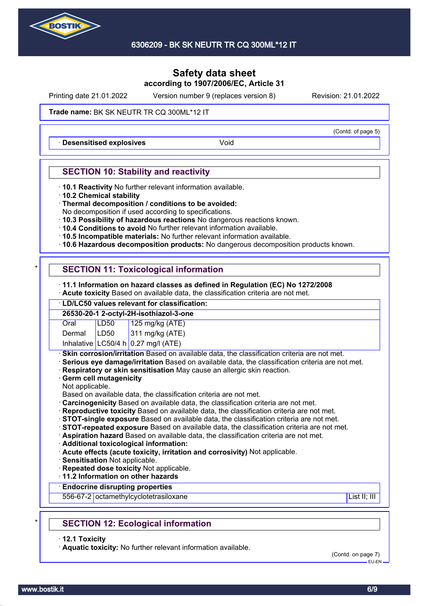

Printing date 21.01.2022 Version number 9 (replaces version 8) Revision: 21.01.2022

### **Trade name: BK SK NEUTR TR CQ 300ML\*12 IT**

**Desensitised explosives Void** 

# **SECTION 10: Stability and reactivity**

- · **10.1 Reactivity** No further relevant information available.
- · **10.2 Chemical stability**
- · **Thermal decomposition / conditions to be avoided:**
- No decomposition if used according to specifications.
- · **10.3 Possibility of hazardous reactions** No dangerous reactions known.
- · **10.4 Conditions to avoid** No further relevant information available.
- · **10.5 Incompatible materials:** No further relevant information available.
- · **10.6 Hazardous decomposition products:** No dangerous decomposition products known.

# **SECTION 11: Toxicological information**

- · **11.1 Information on hazard classes as defined in Regulation (EC) No 1272/2008**
- · **Acute toxicity** Based on available data, the classification criteria are not met.

# · **LD/LC50 values relevant for classification:**

| 26530-20-1 2-octyl-2H-isothiazol-3-one |      |                                       |
|----------------------------------------|------|---------------------------------------|
| Oral                                   | LD50 |                                       |
| Dermal                                 | LD50 | 125 mg/kg (ATE)<br>311 mg/kg (ATE)    |
|                                        |      | Inhalative $LC50/4 h 0.27$ mg/l (ATE) |

**Skin corrosion/irritation** Based on available data, the classification criteria are not met.

- · **Serious eye damage/irritation** Based on available data, the classification criteria are not met.
- · **Respiratory or skin sensitisation** May cause an allergic skin reaction.
- · **Germ cell mutagenicity**
- Not applicable.

Based on available data, the classification criteria are not met.

- · **Carcinogenicity** Based on available data, the classification criteria are not met.
- · **Reproductive toxicity** Based on available data, the classification criteria are not met.
- · **STOT-single exposure** Based on available data, the classification criteria are not met.
- · **STOT-repeated exposure** Based on available data, the classification criteria are not met.

· **Aspiration hazard** Based on available data, the classification criteria are not met.

- · **Additional toxicological information:**
- · **Acute effects (acute toxicity, irritation and corrosivity)** Not applicable.
- · **Sensitisation** Not applicable.
- · **Repeated dose toxicity** Not applicable.

· **11.2 Information on other hazards**

### · **Endocrine disrupting properties**

556-67-2 octamethylcyclotetrasiloxane List II; III in the List II; III in the List II; III in the List II; III

# **SECTION 12: Ecological information**

· **12.1 Toxicity**

· **Aquatic toxicity:** No further relevant information available.

(Contd. on page 7) EU-EN

(Contd. of page 5)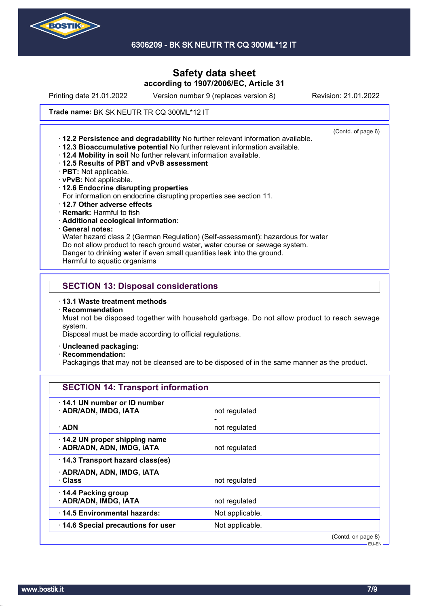

6306209 - BK SK NEUTR TR CQ 300ML\*12 IT

# **Safety data sheet according to 1907/2006/EC, Article 31**

Printing date 21.01.2022 Version number 9 (replaces version 8) Revision: 21.01.2022

### **Trade name: BK SK NEUTR TR CQ 300ML\*12 IT**

(Contd. of page 6) · **12.2 Persistence and degradability** No further relevant information available. · **12.3 Bioaccumulative potential** No further relevant information available. · **12.4 Mobility in soil** No further relevant information available. · **12.5 Results of PBT and vPvB assessment** · **PBT:** Not applicable. · **vPvB:** Not applicable. · **12.6 Endocrine disrupting properties** For information on endocrine disrupting properties see section 11. · **12.7 Other adverse effects** · **Remark:** Harmful to fish · **Additional ecological information:** · **General notes:** Water hazard class 2 (German Regulation) (Self-assessment): hazardous for water Do not allow product to reach ground water, water course or sewage system. Danger to drinking water if even small quantities leak into the ground. Harmful to aquatic organisms **SECTION 13: Disposal considerations**

- · **13.1 Waste treatment methods**
- · **Recommendation**

Must not be disposed together with household garbage. Do not allow product to reach sewage system.

Disposal must be made according to official regulations.

- · **Uncleaned packaging:**
- · **Recommendation:**

Packagings that may not be cleansed are to be disposed of in the same manner as the product.

| <b>SECTION 14: Transport information</b>                   |                 |                    |
|------------------------------------------------------------|-----------------|--------------------|
| 14.1 UN number or ID number                                |                 |                    |
| · ADR/ADN, IMDG, IATA                                      | not regulated   |                    |
| $\cdot$ ADN                                                | not regulated   |                    |
| 14.2 UN proper shipping name<br>· ADR/ADN, ADN, IMDG, IATA | not regulated   |                    |
| 14.3 Transport hazard class(es)                            |                 |                    |
| · ADR/ADN, ADN, IMDG, IATA                                 |                 |                    |
| · Class                                                    | not regulated   |                    |
| 14.4 Packing group<br>· ADR/ADN, IMDG, IATA                | not regulated   |                    |
| 14.5 Environmental hazards:                                | Not applicable. |                    |
| 14.6 Special precautions for user                          | Not applicable. |                    |
|                                                            |                 | (Contd. on page 8) |

EU-EN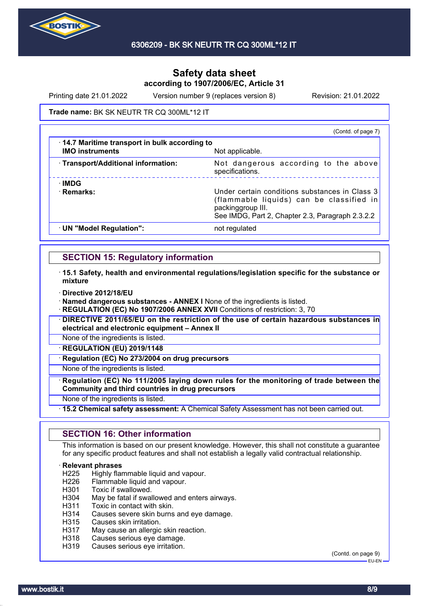

Printing date 21.01.2022 Version number 9 (replaces version 8) Revision: 21.01.2022

### **Trade name: BK SK NEUTR TR CQ 300ML\*12 IT**

|                                                                                | (Contd. of page 7)                                                                                                                                                  |
|--------------------------------------------------------------------------------|---------------------------------------------------------------------------------------------------------------------------------------------------------------------|
| $\cdot$ 14.7 Maritime transport in bulk according to<br><b>IMO instruments</b> | Not applicable.                                                                                                                                                     |
| · Transport/Additional information:                                            | Not dangerous according to the above<br>specifications.                                                                                                             |
| ∴IMDG<br>· Remarks:                                                            | Under certain conditions substances in Class 3<br>(flammable liquids) can be classified in<br>packinggroup III.<br>See IMDG, Part 2, Chapter 2.3, Paragraph 2.3.2.2 |
| · UN "Model Regulation":                                                       | not regulated                                                                                                                                                       |

### **SECTION 15: Regulatory information**

- · **15.1 Safety, health and environmental regulations/legislation specific for the substance or mixture**
- · **Directive 2012/18/EU**
- · **Named dangerous substances ANNEX I** None of the ingredients is listed.
- **REGULATION (EC) No 1907/2006 ANNEX XVII** Conditions of restriction: 3, 70
- · **DIRECTIVE 2011/65/EU on the restriction of the use of certain hazardous substances in electrical and electronic equipment – Annex II**
- None of the ingredients is listed.
- · **REGULATION (EU) 2019/1148**
- **Regulation (EC) No 273/2004 on drug precursors**

None of the ingredients is listed.

- · **Regulation (EC) No 111/2005 laying down rules for the monitoring of trade between the Community and third countries in drug precursors**
- None of the ingredients is listed.
- · **15.2 Chemical safety assessment:** A Chemical Safety Assessment has not been carried out.

### **SECTION 16: Other information**

This information is based on our present knowledge. However, this shall not constitute a guarantee for any specific product features and shall not establish a legally valid contractual relationship.

# **Relevant phrases**<br>H225 Highly flar

- Highly flammable liquid and vapour.
- H226 Flammable liquid and vapour.
- H301 Toxic if swallowed.
- H304 May be fatal if swallowed and enters airways.
- H311 Toxic in contact with skin.
- H314 Causes severe skin burns and eye damage.
- H315 Causes skin irritation.
- H317 May cause an allergic skin reaction.
- H318 Causes serious eye damage.
- H319 Causes serious eye irritation.

(Contd. on page 9) EU-EN